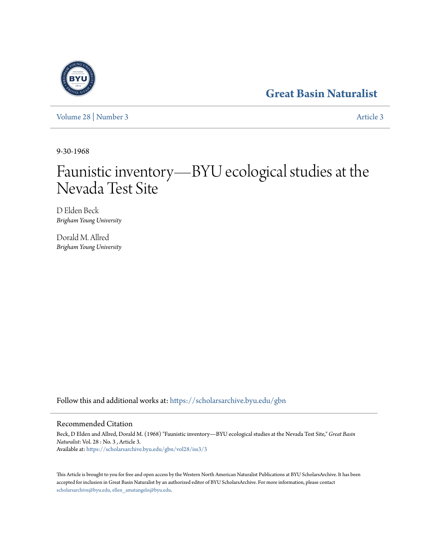## **[Great Basin Naturalist](https://scholarsarchive.byu.edu/gbn?utm_source=scholarsarchive.byu.edu%2Fgbn%2Fvol28%2Fiss3%2F3&utm_medium=PDF&utm_campaign=PDFCoverPages)**

[Volume 28](https://scholarsarchive.byu.edu/gbn/vol28?utm_source=scholarsarchive.byu.edu%2Fgbn%2Fvol28%2Fiss3%2F3&utm_medium=PDF&utm_campaign=PDFCoverPages) | [Number 3](https://scholarsarchive.byu.edu/gbn/vol28/iss3?utm_source=scholarsarchive.byu.edu%2Fgbn%2Fvol28%2Fiss3%2F3&utm_medium=PDF&utm_campaign=PDFCoverPages) [Article 3](https://scholarsarchive.byu.edu/gbn/vol28/iss3/3?utm_source=scholarsarchive.byu.edu%2Fgbn%2Fvol28%2Fiss3%2F3&utm_medium=PDF&utm_campaign=PDFCoverPages)

9-30-1968

# Faunistic inventory—BYU ecological studies at the Nevada Test Site

D Elden Beck *Brigham Young University*

Dorald M. Allred *Brigham Young University*

Follow this and additional works at: [https://scholarsarchive.byu.edu/gbn](https://scholarsarchive.byu.edu/gbn?utm_source=scholarsarchive.byu.edu%2Fgbn%2Fvol28%2Fiss3%2F3&utm_medium=PDF&utm_campaign=PDFCoverPages)

### Recommended Citation

Beck, D Elden and Allred, Dorald M. (1968) "Faunistic inventory—BYU ecological studies at the Nevada Test Site," *Great Basin Naturalist*: Vol. 28 : No. 3 , Article 3. Available at: [https://scholarsarchive.byu.edu/gbn/vol28/iss3/3](https://scholarsarchive.byu.edu/gbn/vol28/iss3/3?utm_source=scholarsarchive.byu.edu%2Fgbn%2Fvol28%2Fiss3%2F3&utm_medium=PDF&utm_campaign=PDFCoverPages)

This Article is brought to you for free and open access by the Western North American Naturalist Publications at BYU ScholarsArchive. It has been accepted for inclusion in Great Basin Naturalist by an authorized editor of BYU ScholarsArchive. For more information, please contact [scholarsarchive@byu.edu, ellen\\_amatangelo@byu.edu.](mailto:scholarsarchive@byu.edu,%20ellen_amatangelo@byu.edu)

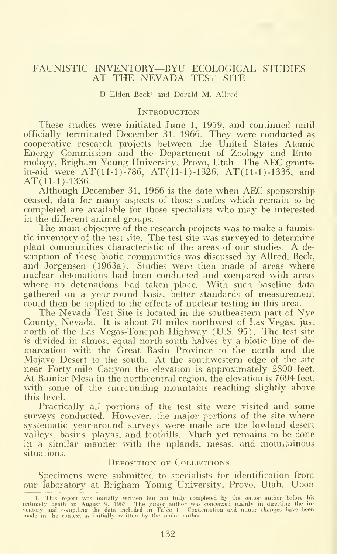#### FAUNISTIC INVENTORY—BYU ECOLOGICAL STUDIES AT THE NEVADA TEST SITE

D Elden Beck<sup>1</sup> and Dorald M. Allred

#### **INTRODUCTION**

These studies were initiated June 1, 1959, and continued until officially terminated December 31. 1966. They were conducted as cooperative research projects between the United States Atomic Energy Commission and the Department of Zoology and Entomology, Brigham Young University, Provo, Utah. The AEC grantsin-aid were  $AT(11-1)$ -786,  $AT(11-1)$ -1326,  $AT(11-1)$ -1335, and AT(11-1)-1336.

Although December 31, 1966 is the date when AEC sponsorship ceased, data for many aspects of those studies which remain to be completed are available for those specialists who may be interested in the different animal groups.

The main objective of the research projects was to make a faunistic inventory of the test site. The test site was surveyed to determine plant communities characteristic of the areas of our studies. A de scription of these biotic communities was discussed by Allred. Beck, and Jorgensen (1963a). Studies were then made of areas where nuclear detonations had been conducted and compared with areas where no detonations had taken place. With such baseline data gathered on a year-round basis, better standards of measurement could then be applied to the effects of nuclear testing in this area.

The Nevada Test Site is located in the southeastern part of Nye County, Nevada. It is about 70 miles northwest of Las Vegas, just north of the Las Vegas-Tonopah Highway (U.S. 95). The test site is divided in almost equal north-south halves by a biotic line of de marcation with the Great Basin Province to the north and the Mojave Desert to the south. At the southwestern edge of the site near Forty-mile Canyon the elevation is approximately 2800 feet. At Rainier Mesa in the northcentral region, the elevation is 7694 feet, with some of the surrounding mountains reaching slightly above this level.

Practically all portions of the test site were visited and some surveys conducted. However, the major portions of the site where systematic year-around surveys were made are the lowland desert valleys, basins, playas, and foothills. Much yet remains to be done in a similar manner with the uplands, mesas, and mountainous situations.

#### DEPOSITION OF COLLECTIONS

Specimens were submitted to specialists for identification from our laboratory at Brigham Young University, Provo. Utah. Upon

<sup>1.</sup> This report was initially written hut not fully completed by the senior author before his<br>untimely death on August 9, 1967. The junior author was concerned mainly in directing the in-<br>ventory and compiling the data incl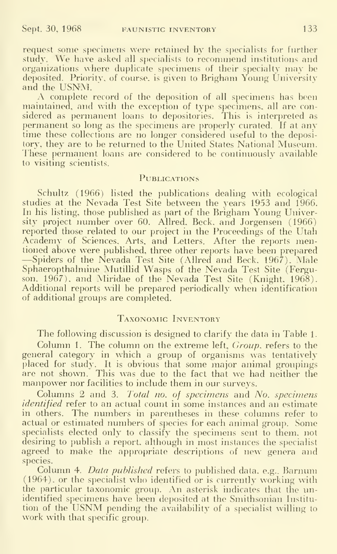request some specimens were retained by the specialists for further study. We have asked all specialists to recommend institutions and organizations where duplicate specimens of their specialty may be deposited. Priority, of course, is given to Brigham Young University and the USNM.

A complete record of the deposition of all specimens has been maintained, and with the exception of type specimens, all are considered as permanent loans to depositories. This is interpreted as permanent so long as the specimens are properly curated. If at any time these collections are no longer considered useful to the depository, they are to be returned to the United States National Museum. These permanent loans are considered to be continuously available to visiting scientists.

#### **PUBLICATIONS**

Schultz (1966) listed the publications dealing with ecological studies at the Nevada Test Site between the years 1953 and 1966. In his listing, those published as part of the Brigham Young University project number over 60. Allred, Beck, and Jorgensen (1966) reported those related to our project in the Proceedings of the Utah Academy of Sciences, Arts, and Letters. After the reports mentioned above were published, three other reports have been prepared -Spiders of the Nevada Test Site (Allred and Beck. 1967). Male Sphaeropthalmine Mutillid Wasps of the Nevada Test Site (Ferguson. 1967), and Miridae of the Nevada Test Site (Knight, 1968). Additional reports will be prepared periodically when identification of additional groups are completed.

#### Taxonomic Inventory

The following discussion is designed to clarify the data in Table 1. Column 1. The column on the extreme left, *Group*. refers to the general category in which a group of organisms was tentatively placed for study. It is obvious that some major animal groupings are not shown. This was due to the fact that we had neither the manpower nor facilities to include them in our surveys.

Columns 2 and 3. Total no. of specimens and No. specimens *identified* refer to an actual count in some instances and an estimate in others. The numbers in parentheses in these columns refer to actual or estimated numbers of species for each animal group. Some specialists elected only to classify the specimens sent to them, not desiring to publish a report, although in most instances the specialist agreed to make the appropriate descriptions of new genera and species.

Column 4. Data published refers to published data. e.g.. Barnum (1964). or the specialist who identified or is currently working with the particular taxonomic group. An asterisk indicates that the unidentified specimens have been deposited at the Smithsonian Institution of the USNM pending the availability of <sup>a</sup> specialist willing to work with that specific group.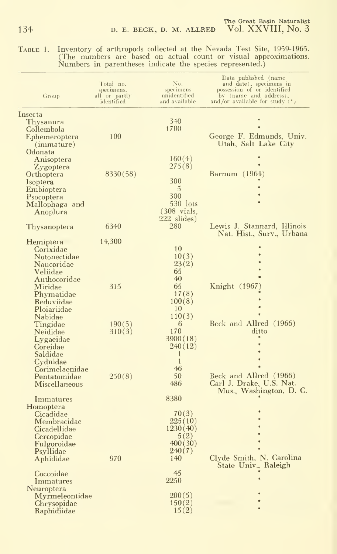Table 1. Inventory of arthropods collected at the Nevada Test Site, 1959-1965. (The numbers are based on actual count or visual approximations. Numbers in parentheses indicate the species represented.)

| Group                                                                                                                     | Total no.<br>specimens,<br>all or partly<br>identified | No.<br>specimens<br>unidentified<br>and available                        | Data published (name<br>and date), specimens in<br>possession of or identified<br>by (name and address),<br>and/or available for study $(*)$ |
|---------------------------------------------------------------------------------------------------------------------------|--------------------------------------------------------|--------------------------------------------------------------------------|----------------------------------------------------------------------------------------------------------------------------------------------|
| Insecta<br>Thysanura                                                                                                      |                                                        | $3-10$                                                                   |                                                                                                                                              |
| Collembola<br>Ephemeroptera<br>(mmature)                                                                                  | 100                                                    | 1700                                                                     | George F. Edmunds, Univ.<br>Utah, Salt Lake City                                                                                             |
| Odonata<br>Anisoptera<br>Zygoptera                                                                                        |                                                        | 160(4)<br>275(8)                                                         |                                                                                                                                              |
| Orthoptera<br>Isoptera<br>Embioptera                                                                                      | 8330(58)                                               | 300<br>$\overline{5}$                                                    | Barnum (1964)                                                                                                                                |
| Psocoptera<br>Mallophaga and<br>Anoplura                                                                                  |                                                        | 300<br>530 lots<br>$(308 \text{ vials})$                                 |                                                                                                                                              |
| Thysanoptera                                                                                                              | 6340                                                   | 222 slides)<br>280                                                       | Lewis J. Stannard, Illinois<br>Nat. Hist., Surv., Urbana                                                                                     |
| Hemiptera<br>Corixidae<br>Notonectidae<br>Naucoridae<br>Veliidae                                                          | 14,300                                                 | 10<br>10(3)<br>23(2)<br>65                                               |                                                                                                                                              |
| Anthocoridae<br>Miridae<br>Phymatidae<br>Reduviidae<br>Ploiariidae                                                        | 315                                                    | 40<br>65<br>17(8)<br>100(8)<br>10                                        | Knight (1967)                                                                                                                                |
| Nabidae<br>Tingidae<br>Neididae<br>Lygaeidae<br>Coreidae                                                                  | 190(5)<br>310(3)                                       | 110(3)<br>6<br>170<br>3900(18)<br>240(12)                                | Beck and Allred (1966)<br>ditto                                                                                                              |
| Saldidae<br>Cydnidae<br>Corimelaenidae<br>Pentatomidae<br>Miscellaneous                                                   | 250(8)                                                 | 1<br>$\mathbf{1}$<br>46<br>50<br>486                                     | Beck and Allred (1966)<br>Carl J. Drake, U.S. Nat.<br>Mus., Washington, D. C.                                                                |
| Immatures<br>Homoptera<br>Cicadidae<br>Membracidae<br>Cicadellidae<br>Cercopidae<br>Fulgoroidae<br>Psyllidae<br>Aphididae | 970                                                    | 8380<br>70(3)<br>225(10)<br>1230(40)<br>5(2)<br>400(30)<br>240(7)<br>140 | Clyde Smith, N. Carolina<br>State Univ., Raleigh                                                                                             |
| Coccoidae<br><i>Immatures</i><br>Neuroptera<br>Myrmeleontidae<br>Chrysopidae<br>Raphidiidae                               |                                                        | 45<br>2250<br>200(5)<br>150(2)<br>15(2)                                  |                                                                                                                                              |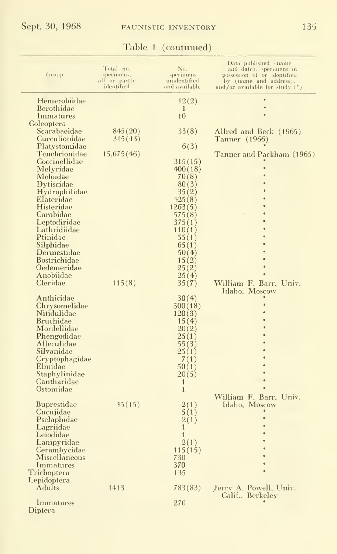## Table <sup>1</sup> (continued)

| Group                                | Total no.<br>specimens.<br>all or partly<br>identified | No.<br>specimens<br>unidentified<br>and available | Data published (name<br>and date), specimens in<br>possession of or identified<br>by (name and address),<br>and/or available for study $(*)$ |
|--------------------------------------|--------------------------------------------------------|---------------------------------------------------|----------------------------------------------------------------------------------------------------------------------------------------------|
| Hemerobiidae                         |                                                        | 12(2)                                             |                                                                                                                                              |
| Berothidae                           |                                                        | $\mathbf{1}$                                      |                                                                                                                                              |
| Immatures                            |                                                        | 10                                                |                                                                                                                                              |
| Coleoptera                           |                                                        |                                                   |                                                                                                                                              |
| Scarabaeidae                         | 845(20)                                                | 33(8)                                             | Allred and Beck (1965)                                                                                                                       |
| Curculionidae<br>Platystomidae       | 315(43)                                                | 6(3)                                              | Tanner (1966)                                                                                                                                |
| Tenebrionidae                        | 15.675(46)                                             |                                                   | Tanner and Packham (1965)                                                                                                                    |
| Coccinellidae                        |                                                        | 315(15)                                           |                                                                                                                                              |
| Melyridae                            |                                                        | 400(18)                                           |                                                                                                                                              |
| Meloidae                             |                                                        | 70(8)                                             |                                                                                                                                              |
| Dytiscidae                           |                                                        | 80(3)                                             |                                                                                                                                              |
| Hydrophilidae                        |                                                        | 35(2)                                             |                                                                                                                                              |
| Elateridae                           |                                                        | 425(8)                                            |                                                                                                                                              |
| Histeridae<br>Carabidae              |                                                        | 1263(5)                                           |                                                                                                                                              |
| Leptodiridae                         |                                                        | 575(8)<br>375(1)                                  |                                                                                                                                              |
| Lathridiidae                         |                                                        | 110(1)                                            |                                                                                                                                              |
| Ptinidae                             |                                                        | 55(1)                                             |                                                                                                                                              |
| Silphidae                            |                                                        | 65(1)                                             |                                                                                                                                              |
| Dermestidae                          |                                                        | 50(4)                                             |                                                                                                                                              |
| Bostrichidae                         |                                                        | 15(2)                                             |                                                                                                                                              |
| Oedemeridae                          |                                                        | 25(2)                                             |                                                                                                                                              |
| Anobiidae<br>Cleridae                | 115(8)                                                 | 25(4)                                             |                                                                                                                                              |
|                                      |                                                        | 35(7)                                             | William F. Barr, Univ.<br>Idaho, Moscow                                                                                                      |
| Anthicidae                           |                                                        | 30(4)                                             |                                                                                                                                              |
| Chrysomelidae                        |                                                        | 500(18)                                           |                                                                                                                                              |
| Nitidulidae                          |                                                        | 120(3)                                            |                                                                                                                                              |
| <b>Bruchidae</b>                     |                                                        | 15(4)                                             |                                                                                                                                              |
| Mordellidae                          |                                                        | 20(2)                                             |                                                                                                                                              |
| Phengodidae<br>Alleculidae           |                                                        | 25(1)<br>55(3)                                    |                                                                                                                                              |
| Silvanidae                           |                                                        | 25(1)                                             |                                                                                                                                              |
| Cryptophagidae                       |                                                        | 7(1)                                              |                                                                                                                                              |
| Elmidae                              |                                                        | 50(1)                                             |                                                                                                                                              |
| Staphylinidae                        |                                                        | 20(5)                                             |                                                                                                                                              |
| Cantharidae                          |                                                        | $\mathbf{1}$                                      |                                                                                                                                              |
| Ostomidae                            |                                                        | $\mathbf{1}$                                      | William F. Barr, Univ.                                                                                                                       |
| <b>Buprestidae</b>                   | $-45(15)$                                              | 2(1)                                              | Idaho, Moscow                                                                                                                                |
| Cucujidae                            |                                                        | 5(1)                                              |                                                                                                                                              |
| Pselaphidae                          |                                                        | 2(1)                                              |                                                                                                                                              |
| Lagriidae                            |                                                        | $\mathbf{1}$                                      |                                                                                                                                              |
| Leiodidae                            |                                                        | $\mathbf{1}$                                      |                                                                                                                                              |
| Lampyridae                           |                                                        | 2(1)                                              |                                                                                                                                              |
| Cerambycidae<br><b>Miscellaneous</b> |                                                        | 115(15)                                           |                                                                                                                                              |
| Immatures                            |                                                        | 730<br>370                                        |                                                                                                                                              |
| Trichoptera                          |                                                        | 135                                               |                                                                                                                                              |
| Lepidoptera                          |                                                        |                                                   |                                                                                                                                              |
| Adults                               | 1413                                                   | 783(83)                                           | Jerry A. Powell, Univ.                                                                                                                       |
|                                      |                                                        |                                                   | Calif., Berkeley                                                                                                                             |
| Immatures<br>$\rm{Dintera}$          |                                                        | 270                                               |                                                                                                                                              |
|                                      |                                                        |                                                   |                                                                                                                                              |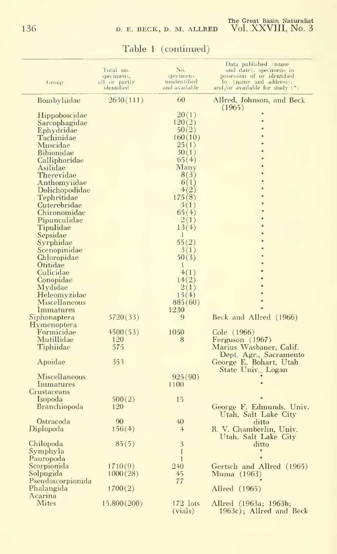| Group                                                                                                                                                                                                                                                                                                                                                                                                                                                                 | Total no.<br>specimens,<br>all or partly<br>identified | No.<br>specimens<br>unidentified<br>and available                                                                                                                                                                                                   | Data published (name<br>and date), specimens in<br>possession of or identified<br>by (name and address),<br>and/or available for study $(*)$ |
|-----------------------------------------------------------------------------------------------------------------------------------------------------------------------------------------------------------------------------------------------------------------------------------------------------------------------------------------------------------------------------------------------------------------------------------------------------------------------|--------------------------------------------------------|-----------------------------------------------------------------------------------------------------------------------------------------------------------------------------------------------------------------------------------------------------|----------------------------------------------------------------------------------------------------------------------------------------------|
| <b>Bombyliidae</b>                                                                                                                                                                                                                                                                                                                                                                                                                                                    | 2630(111)                                              | 60                                                                                                                                                                                                                                                  | Allred, Johnson, and Beck                                                                                                                    |
| <b>Hippoboscidae</b><br>Sarcophagidae<br>Ephydridae<br>$\rm Tachinidae$<br>Muscidae<br><b>Bibionidae</b><br>Calliphoridae<br>Asilidae<br><b>Therevidae</b><br>Anthomyiidae<br>Dolichopodidae<br>Tephritidae<br>Cuterebridae<br>Chironomidae<br>Pipunculidae<br>Tipulidae<br>Sepsidae<br>Syrphidae<br>Scenopinidae<br>Chloropidae<br>Otitidae<br>Culicidae<br>Conopidae<br>Mydidae<br>Heleomyzidae<br>Miscellaneous<br>Immatures<br>Siphonaptera<br><b>Hymenoptera</b> | 3720(33)                                               | 20(1)<br>120(2)<br>50(2)<br>160(10)<br>25(1)<br>30(1)<br>65(4)<br>Many<br>8(3)<br>6(1)<br>4(2)<br>175(8)<br>3(1)<br>65(4)<br>2(1)<br>13(4)<br>1<br>55(2)<br>3(1)<br>50(3)<br>$\mathbf{1}$<br>4(1)<br>14(2)<br>2(1)<br>13(4)<br>885(60)<br>1230<br>9 | (1965)<br>Beck and Allred (1966)                                                                                                             |
| Formicidae<br>Mutillidae<br>Tiphiidae<br>Apoidae                                                                                                                                                                                                                                                                                                                                                                                                                      | 4500(53)<br>120<br>575<br>353                          | 1050<br>8                                                                                                                                                                                                                                           | Cole (1966)<br>Ferguson (1967)<br>Marius Wasbauer, Calif.<br>Dept. Agr., Sacramento<br>George E. Bohart, Utah                                |
| Miscellaneous<br>Immatures<br>Crustaceans                                                                                                                                                                                                                                                                                                                                                                                                                             |                                                        | 925(90)<br>1100                                                                                                                                                                                                                                     | State Univ., Logan                                                                                                                           |
| Isopoda<br><b>Branchiopoda</b>                                                                                                                                                                                                                                                                                                                                                                                                                                        | 500(2)<br>120                                          | 15                                                                                                                                                                                                                                                  | George F. Edmunds, Univ.<br>Utah, Salt Lake City                                                                                             |
| Ostracoda<br>Diplopoda                                                                                                                                                                                                                                                                                                                                                                                                                                                | 90<br>156(4)                                           | 40<br>$\overline{4}$                                                                                                                                                                                                                                | ditto<br>R. V. Chamberlin, Univ.<br>Utah, Salt Lake City                                                                                     |
| Chilopoda<br>Symphyla<br>Pauropoda                                                                                                                                                                                                                                                                                                                                                                                                                                    | 85(5)                                                  | 3<br>$\mathbf{1}$<br>1                                                                                                                                                                                                                              | ditto                                                                                                                                        |
| Scorpionida<br>Solpugida<br>Pseudoscorpionida                                                                                                                                                                                                                                                                                                                                                                                                                         | 1710(9)<br>1000(28)                                    | 240<br>45<br>77                                                                                                                                                                                                                                     | Gertsch and Allred (1965)<br>Muma (1963)                                                                                                     |
| Phalangida                                                                                                                                                                                                                                                                                                                                                                                                                                                            | 1700(2)                                                |                                                                                                                                                                                                                                                     | Allred (1965)                                                                                                                                |
| Acarina<br><b>Mites</b>                                                                                                                                                                                                                                                                                                                                                                                                                                               | 15,800(200)                                            | 172 lots<br>(vials)                                                                                                                                                                                                                                 | Allred (1963a; 1963b;<br>1963c); Allred and Beck                                                                                             |

## Table <sup>1</sup> (continued)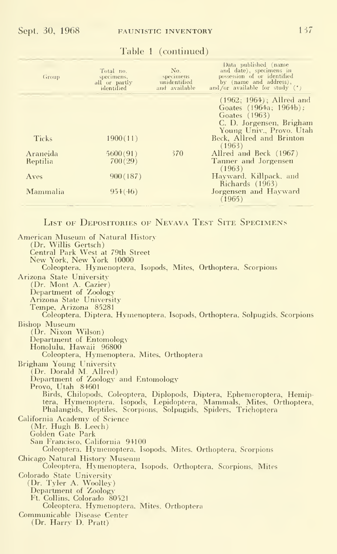| Group                | Total no.<br>specimens,<br>all or partly<br>identified | No.<br>specimens<br>unidentified<br>and available | Data published (name<br>and date), specimens in<br>possession of or identified<br>by (name and address),<br>and/or available for study $(*)$ |
|----------------------|--------------------------------------------------------|---------------------------------------------------|----------------------------------------------------------------------------------------------------------------------------------------------|
|                      |                                                        |                                                   | $(1962; 1964)$ ; Allred and<br>Goates (1964a; 1964b);<br>Goates (1963)<br>C. D. Jorgensen, Brigham<br>Young Univ., Provo. Utah               |
| Ticks                | 1900(11)                                               |                                                   | Beck, Allred and Brinton<br>(1963)                                                                                                           |
| Araneida<br>Reptilia | 5600(91)<br>700(29)                                    | 370                                               | Allred and Beck (1967)<br>Tanner and Jorgensen<br>(1963)                                                                                     |
| Aves                 | 900(187)                                               |                                                   | Hayward, Killpack, and<br>Richards (1963)                                                                                                    |
| Mammalia             | 954(46)                                                |                                                   | Jorgensen and Hayward<br>(1965)                                                                                                              |

Table <sup>1</sup> (continued)

LIST OF DEPOSITORIES OF NEVAVA TEST SITE SPECIMENS

American Museum of Natural History (Dr. Willis Gertsch) Central Park West at 79th Street New York, New York 10000 Coleoptera, Hymenoptera, Isopods, Mites, Orthoptera, Scorpions Arizona State University Colla State University<br>(Dr. Mont A. Cazier)<br>Department of Zoology Arizona State University Tempe, Arizona 85281 Coleoptera, Diptera, Hymenoptera, Isopods, Orthoptera, Solpugids, Scorpions **Bishop** Museum (Dr. Nixon Wilson)<br>Department of Entomology Honolulu, Hawaii 96800 Coleoptera, Hymenoptera, Mites, Orthoptera Brigham Young University<br>(Dr. Dorald M. Allred) Department of Zoology and Entomology Provo, Utah 84601 Birds, Chilopods, Coleoptera, Diplopods, Diptera, Ephemeroptera, Hemiptera, Hymenoptera, Isopods, Lepidoptera, Mammals, Mites, Orthoptera, Phalangids, Reptiles, Scorpions, Solpugids, Spiders, Trichoptera California Academy of Science (Mr. Hugh B. Leech) Golden Gate Park San Francisco, California 94100 Coleoptera, Hymenoptera, Isopods, Mites, Orthoptera, Scorpions Chicago Natural History Museum Coleoptera, Hymenoptera, Isopods, Orthoptera, Scorpions, Mites Colorado State University (Dr. Tyler A. Woolley)<br>Department of Zoology Ft. Collins, Colorado 80521 Coleoptera, Hymenoptera, Mites, Orthoptera Communicable Disease Center (Dr. Harry D. Pratt)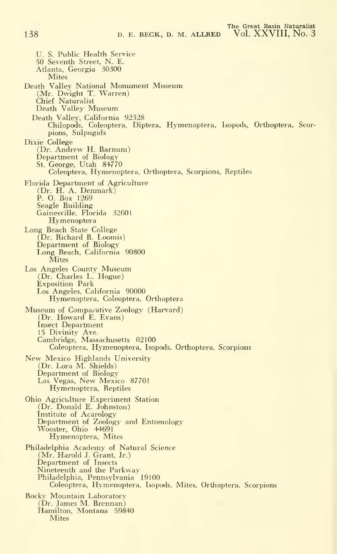U. S. Public Health Service 50 Seventh Street, N. E.<br>Atlanta, Georgia 30300 Mites Death Valley National Monument Museum (Mr. Dwight T. Warren) Chief Naturalist Death Valley Museum Death Valley, California 92328 Chilopods, Coleoptera, Diptera. Hymenoptera, Isopods, Orthoptera, Scorpions, Sulpugids Dixie College (Dr. Andrew H. Barnum) Department of Biology St. George, Utah 84770 Coleoptera, Hymenoptera. Orthoptera, Scorpions. Reptiles Florida Department of Agriculture (Dr. H. A. Denmark) P. O. Box 1269 Seagle Building Gainesville, Florida 32601 **Hymenoptera** Long Beach State College (Dr. Richard B. Loomis) Department of Biology Long Beach, California 90800 Mites Los Angeles County Museum (Dr. Charles L. Hogue) Exposition Park Los Angeles, California 90000 Hymenoptera, Coleoptera, Orthoptera Museum of Comparative Zoology (Harvard) (Dr. Howard E. Evans) Insect Department 15 Divinity Ave.<br>Cambridge, Massachusetts 02100 Coleoptera. Hymenoptera, Isopods. Orthoptera, Scorpions New Mexico Highlands University (Dr. Lora M. Shields) Department of Biology Las Vegas, New Mexico 87701 Hymenoptera, Reptiles Ohio Agriculture Experiment Station (Dr. Donald E. Johnston) Institute of Acarology Department of Zoology and Entomology Wooster, Ohio 44691 Hymenoptera, Mites Philadelphia Academy of Natural Science (Mr. Harold J. Grant, Jr.) Department of Insects Nineteenth and the Parkway Philadelphia, Pennsylvania 19100 Coleoptera, Hymenoptera, Isopods, Mites, Orthoptera, Scorpions Rocky Mountain Laboratory (Dr. James M. Brennan) Hamilton, Montana 59840 Mites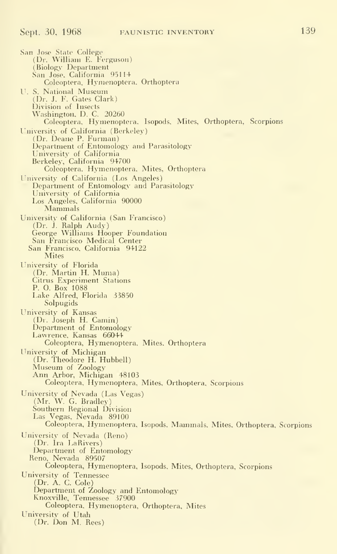San Jose State College (Dr. William E. Ferguson) (Biology Department San Joso. California 95114 Coleoptera. Hymenoptera. Orthoptera U. S. National Museum (Dr. J. F. Gates Clark) Division of Insects Washington. D. C. 20260 Coleoptera, Hymenoptera. Isopods, Mites, Orthoptera, Scorpions University of California (Berkeley) (Dr. Deane P. Furman) Department of Entomology and Parasitology University of California Berkeley, California 94700 Coleoptera. Hymenoptera, Mites, Orthoptera University of California (Los Angeles) Department of Entomology and Parasitology University of California Los Angeles, California <sup>90000</sup> Mammals University of California (San Francisco) (Dr. J. Ralph Audy) George Williams Hooper Foundation San Francisco Medical Center San Francisco, California 94122 **Mites** University of Florida (Dr. Martin H. Muma) Citrus Experiment Stations P. O. Box 1088 Lake Alfred, Florida 33850 Solpugids University of Kansas (Dr. Joseph H. Camin) Department of Entomology Lawrence, Kansas 66044 Coleoptera, Hymenoptera, Mites, Orthoptera University of Michigan (Dr. Theodore H. Hubbell) Museum of Zoology Ann Arbor, Michigan 48103 Coleoptera. Hymenoptera, Mites, Orthoptera, Scorpions University of Nevada (Las Vegas) (Mr. W. G. Bradley) Southern Regional Division Las Vegas. Nevada 89100 Coleoptera, Hymenoptera, Isopods, Mammals, Mites, Orthoptera. Scorpions University of Nevada (Reno) (Dr. Ira LaRivers) Department of Entomology Reno, Nevada 89507 Coleoptera, Hymenoptera, Isopods, Mites, Orthoptera, Scorpions University of Tennessee (Dr. A. C. Cole) Department of Zoology and Entomology Knoxville, Tennessee 37900 Coleoptera, Hymenoptera, Orthoptera, Mites Universitv of Utah (Dr. Don M. Rees)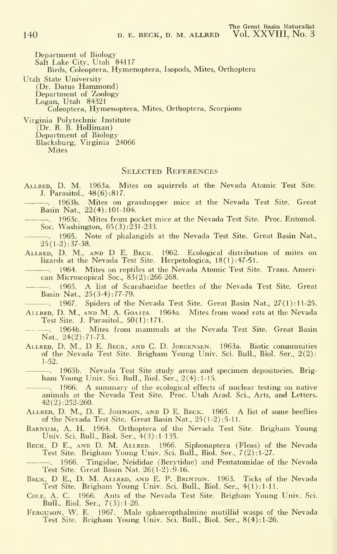Department of Biology Salt Lake City, Utah 84117 Birds, Coleoptera, Hymenoptera, Isopods, Mites, Orthoptera Utah State University (Dr. Datus Hammond) Department of Zoology Logan, Utah 84321

Coleoptera, Hymenoptera, Mites, Orthoptera, Scorpions

Virginia Polytechnic Institute (Dr. B. B. Holliman) Department of Biology Blacksburg, Virginia 24066 **Mites** 

#### SELECTED REFERENCES

- Allred, D. M. 1963a. Mites on squirrels at the Nevada Atomic Test Site. J. Parasitol.,  $48(6):817$ .
	- . 1963b. Mites on grasshopper mice at the Nevada Test Site. Great Basin Nat, 22(4): 101-104.
	- 1963c. Mites from pocket mice at the Nevada Test Site. Proc. Entomol. Soc. Washington, 65(3): 231-233.
	- -. 1965. Note of phalangids at the Nevada Test Site. Great Basin Nat.,  $25(1-2):37-38.$
- Allred, D. M., and D E. Beck. 1962. Ecological distribution of mites on lizards at the Nevada Test Site. Herpetologica, 18(1):47-51.
	- . 1964. Mites on reptiles at the Nevada Atomic Test Site. Trans. American Microscopical Soc, 83(2):266-268.
		- 1965. A list of Scarabaeidae beetles of the Nevada Test Site. Great Basin Nat., 25(3-4) : 77-79.

. 1967. Spiders of the Nevada Test Site. Great Basin Nat., 27(1): 11-25.

- ALLRED, D. M., AND M. A. GOATES. 1964a. Mites from wood rats at the Nevada Test Site. J. Parasitol., 50(1): 171.
	- . 1964b. Mites from mammals at the Nevada Test Site. Great Basin Nat., 24(2):71-73.
- ALLRED, D. M., D E. BECK, AND C. D. JORGENSEN. 1963a. Biotic communities of the Nevada Test Site. Brigham Young Univ. Sci. Bull., Biol. Ser., 2(2): 1-52.

. 1963b. Nevada Test Site study areas and specimen depositories. Brigham Young Univ. Sci. Bull., Biol. Ser., 2(4): 1-15.

- 1966. A summary of the ecological effects of nuclear testing on native animals at the Nevada Test Site. Proc. Utah Acad. Sci., Arts, and Letters. 42(2): 252-260.
- Allred, D. M., D. E. Johnson, and D E.Beck. 1965. A listof some beeflies of the Nevada Test Site. Great Basin Nat., 25 (1-2): 5-11.
- Barnum, a. H. 1964. Orthoptera of the Nevada Test Site. Brigham Young Univ. Sci. Bull, Biol. Ser., 4(3): 1-135.
- BECK, D E., AND D. M. ALLRED. 1966. Siphonaptera (Fleas) of the Nevada Test Site. Brigham Young Univ. Sci. Bull., Biol. Ser., <sup>7</sup> (2): 1-27.
- . 1966. Tingidae, Neididae (Berytidae) and Pentatomidae of the Nevada Test Site. Great Basin Nat. 26(1-2): 9-16.
- Beck, D E., D. M. Allred, and E. P. Brinton. 1963. Ticks of the Nevada Test Site. Brigham Young Univ. Sci. Bull., Biol. Ser., 4(1): 1-11.
- Cole, A. C. 1966. Ants of the Nevada Test Site. Brigham Young Univ. Sci. Bull., Biol. Ser., 7(3): 1-26.
- Ferguson, W. E. 1967. Male sphaeropthalmine mutillid wasps of the Nevada Test Site. Brigham Young Univ. Sci. Bull., Biol. Ser., 8(4): 1-26.